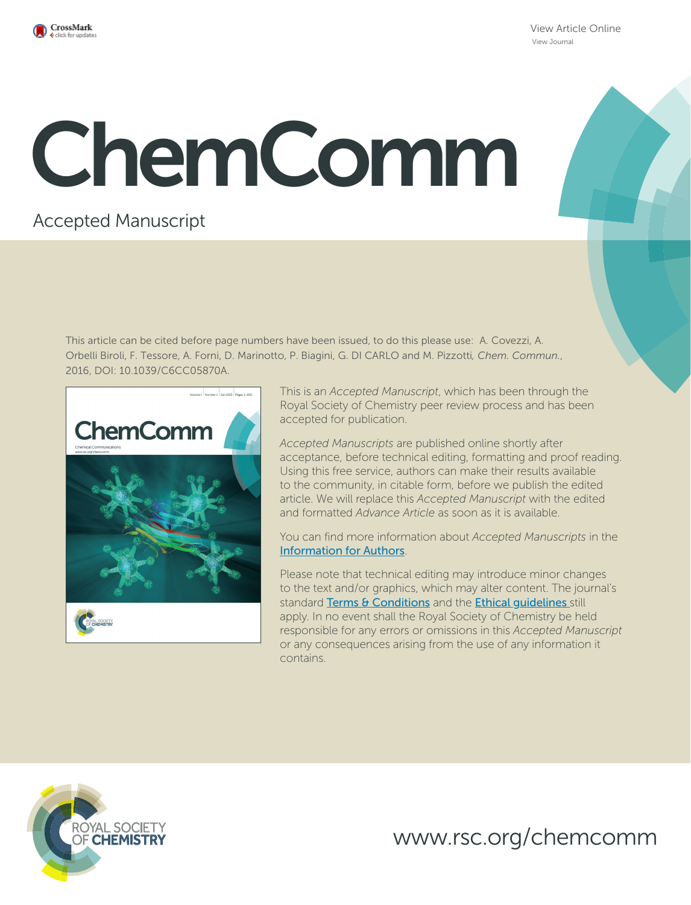

[View Article Online](http://dx.doi.org/10.1039/c6cc05870a) [View Journal](http://pubs.rsc.org/en/journals/journal/CC)

# ChemComm

# Accepted Manuscript

This article can be cited before page numbers have been issued, to do this please use: A. Covezzi, A. Orbelli Biroli, F. Tessore, A. Forni, D. Marinotto, P. Biagini, G. DI CARLO and M. Pizzotti*, Chem. Commun.*, 2016, DOI: 10.1039/C6CC05870A.



This is an *Accepted Manuscript*, which has been through the Royal Society of Chemistry peer review process and has been accepted for publication.

*Accepted Manuscripts* are published online shortly after acceptance, before technical editing, formatting and proof reading. Using this free service, authors can make their results available to the community, in citable form, before we publish the edited article. We will replace this *Accepted Manuscript* with the edited and formatted *Advance Article* as soon as it is available.

You can find more information about *Accepted Manuscripts* in the [Information for Authors](http://www.rsc.org/Publishing/Journals/guidelines/AuthorGuidelines/JournalPolicy/accepted_manuscripts.asp).

Please note that technical editing may introduce minor changes to the text and/or graphics, which may alter content. The journal's standard [Terms & Conditions](http://www.rsc.org/help/termsconditions.asp) and the Ethical quidelines still apply. In no event shall the Royal Society of Chemistry be held responsible for any errors or omissions in this *Accepted Manuscript* or any consequences arising from the use of any information it contains.



www.rsc.org/chemcomm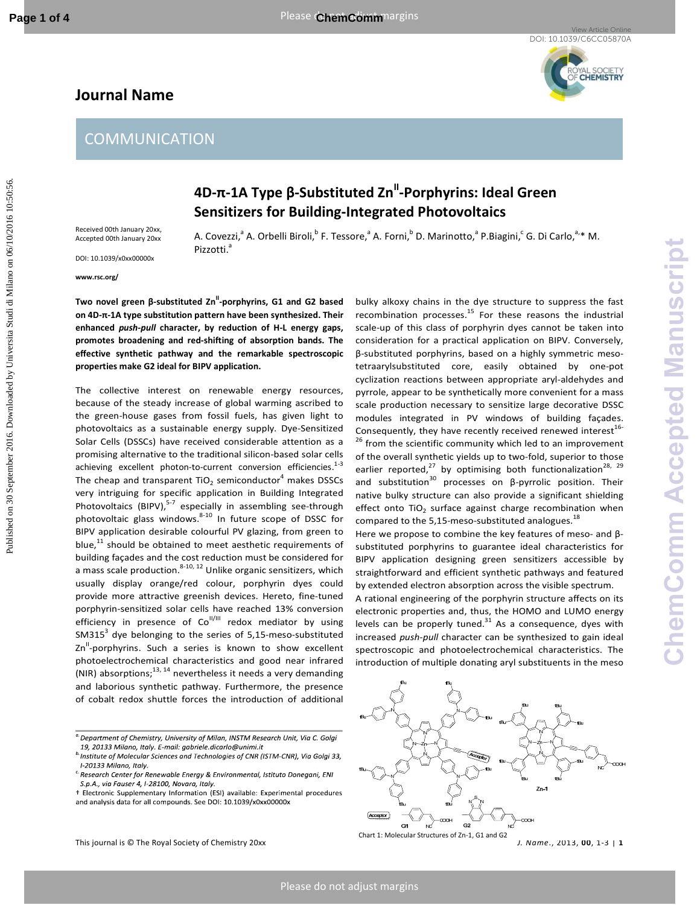

### **Journal Name**

### **COMMUNICATION**

## **4D-π-1A Type β-Substituted ZnII-Porphyrins: Ideal Green Sensitizers for Building-Integrated Photovoltaics**

A. Covezzi,<sup>a</sup> A. Orbelli Biroli,<sup>b</sup> F. Tessore,<sup>a</sup> A. Forni,<sup>b</sup> D. Marinotto,<sup>a</sup> P.Biagini,<sup>c</sup> G. Di Carlo,<sup>a,</sup>\* M.

Received 00th January 20xx, Accepted 00th January 20xx

DOI: 10.1039/x0xx00000x

**www.rsc.org/** 

**Two novel green β-substituted ZnII-porphyrins, G1 and G2 based on 4D-π-1A type substitution pattern have been synthesized. Their enhanced** *push-pull* **character, by reduction of H-L energy gaps, promotes broadening and red-shifting of absorption bands. The effective synthetic pathway and the remarkable spectroscopic properties make G2 ideal for BIPV application.** 

Pizzotti.<sup>a</sup>

The collective interest on renewable energy resources, because of the steady increase of global warming ascribed to the green-house gases from fossil fuels, has given light to photovoltaics as a sustainable energy supply. Dye-Sensitized Solar Cells (DSSCs) have received considerable attention as a promising alternative to the traditional silicon-based solar cells achieving excellent photon-to-current conversion efficiencies.<sup>1-3</sup> The cheap and transparent TiO<sub>2</sub> semiconductor<sup>4</sup> makes DSSCs very intriguing for specific application in Building Integrated Photovoltaics (BIPV),<sup>5-7</sup> especially in assembling see-through photovoltaic glass windows. $8-10$  In future scope of DSSC for BIPV application desirable colourful PV glazing, from green to blue, $11$  should be obtained to meet aesthetic requirements of building façades and the cost reduction must be considered for a mass scale production. $8-10$ ,  $12$  Unlike organic sensitizers, which usually display orange/red colour, porphyrin dyes could provide more attractive greenish devices. Hereto, fine-tuned porphyrin-sensitized solar cells have reached 13% conversion efficiency in presence of  $Co<sup>II/III</sup>$  redox mediator by using SM315 $^3$  dye belonging to the series of 5,15-meso-substituted  $Zn''$ -porphyrins. Such a series is known to show excellent photoelectrochemical characteristics and good near infrared (NIR) absorptions; $^{13, 14}$  nevertheless it needs a very demanding and laborious synthetic pathway. Furthermore, the presence of cobalt redox shuttle forces the introduction of additional **COMMUNICATION**<br>
COMMUNICATION<br> **COMMUNICATION**<br> **COMMUNICATION**<br> **COMMUNICATION**<br> **COMMUNICATION**<br> **COMMUNICATION**<br> **COMMUNICATION**<br> **COMMUNICATION**<br> **COMMUNICATION**<br> **COMMUNICATION**<br> **COMMUNICATION**<br> **COMMUNICATION**<br> **C** 

This journal is © The Royal Society of Chemistry 20xx *J. Name*., 2013, **00**, 1-3 | **1**

bulky alkoxy chains in the dye structure to suppress the fast recombination processes. $15$  For these reasons the industrial scale-up of this class of porphyrin dyes cannot be taken into consideration for a practical application on BIPV. Conversely, β-substituted porphyrins, based on a highly symmetric mesotetraarylsubstituted core, easily obtained by one-pot cyclization reactions between appropriate aryl-aldehydes and pyrrole, appear to be synthetically more convenient for a mass scale production necessary to sensitize large decorative DSSC modules integrated in PV windows of building façades. Consequently, they have recently received renewed interest<sup>16-</sup> <sup>26</sup> from the scientific community which led to an improvement of the overall synthetic yields up to two-fold, superior to those earlier reported, $27$  by optimising both functionalization $28$ ,  $29$ and substitution<sup>30</sup> processes on β-pyrrolic position. Their native bulky structure can also provide a significant shielding effect onto  $TiO<sub>2</sub>$  surface against charge recombination when compared to the 5,15-meso-substituted analogues.<sup>18</sup>

Here we propose to combine the key features of meso- and βsubstituted porphyrins to guarantee ideal characteristics for BIPV application designing green sensitizers accessible by straightforward and efficient synthetic pathways and featured by extended electron absorption across the visible spectrum.

A rational engineering of the porphyrin structure affects on its electronic properties and, thus, the HOMO and LUMO energy levels can be properly tuned. $31$  As a consequence, dyes with increased *push-pull* character can be synthesized to gain ideal spectroscopic and photoelectrochemical characteristics. The introduction of multiple donating aryl substituents in the meso



<sup>&</sup>lt;sup>a</sup> Department of Chemistry, University of Milan, INSTM Research Unit, Via C. Golgi 19, 20133 Milano, Italy. E-mail: gabriele.dicarlo@unimi.it

<sup>&</sup>lt;sup>b</sup> Institute of Molecular Sciences and Technologies of CNR (ISTM-CNR), Via Golgi 33, I-20133 Milano, Italv.

 $c$  Research Center for Renewable Energy & Environmental, Istituto Donegani, ENI S.p.A., via Fauser 4, I-28100, Novara, Italy.

<sup>†</sup> Electronic Supplementary Information (ESI) available: Experimental procedures and analysis data for all compounds. See DOI: 10.1039/x0xx00000x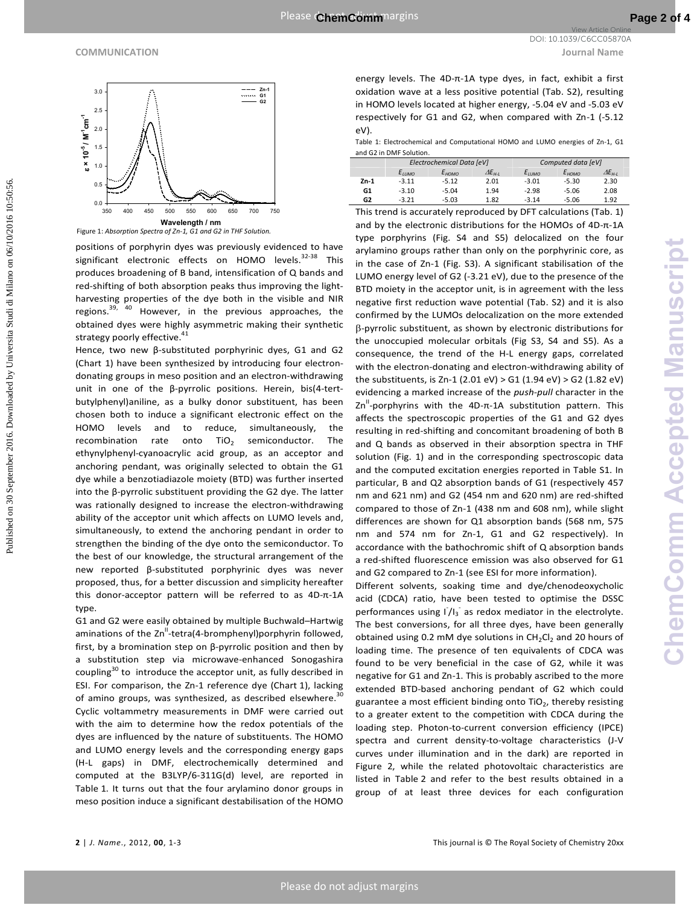

Figure 1: *Absorption Spectra of Zn-1, G1 and G2 in THF Solution.*

positions of porphyrin dyes was previously evidenced to have significant electronic effects on HOMO levels.<sup>32-38</sup> This produces broadening of B band, intensification of Q bands and red-shifting of both absorption peaks thus improving the lightharvesting properties of the dye both in the visible and NIR regions. $39, 40$  However, in the previous approaches, the obtained dyes were highly asymmetric making their synthetic strategy poorly effective. $^{41}$ 

Hence, two new β-substituted porphyrinic dyes, G1 and G2 (Chart 1) have been synthesized by introducing four electrondonating groups in meso position and an electron-withdrawing unit in one of the β-pyrrolic positions. Herein, bis(4-tertbutylphenyl)aniline, as a bulky donor substituent, has been chosen both to induce a significant electronic effect on the HOMO levels and to reduce, simultaneously, the recombination rate onto  $TiO<sub>2</sub>$  semiconductor. The ethynylphenyl-cyanoacrylic acid group, as an acceptor and anchoring pendant, was originally selected to obtain the G1 dye while a benzotiadiazole moiety (BTD) was further inserted into the β-pyrrolic substituent providing the G2 dye. The latter was rationally designed to increase the electron-withdrawing ability of the acceptor unit which affects on LUMO levels and, simultaneously, to extend the anchoring pendant in order to strengthen the binding of the dye onto the semiconductor. To the best of our knowledge, the structural arrangement of the new reported β-substituted porphyrinic dyes was never proposed, thus, for a better discussion and simplicity hereafter this donor-acceptor pattern will be referred to as 4D-π-1A type.

G1 and G2 were easily obtained by multiple Buchwald–Hartwig aminations of the  $\text{Zn}^{\text{II}}$ -tetra(4-bromphenyl)porphyrin followed, first, by a bromination step on β-pyrrolic position and then by a substitution step via microwave-enhanced Sonogashira coupling $30$  to introduce the acceptor unit, as fully described in ESI. For comparison, the Zn-1 reference dye (Chart 1), lacking of amino groups, was synthesized, as described elsewhere.<sup>30</sup> Cyclic voltammetry measurements in DMF were carried out with the aim to determine how the redox potentials of the dyes are influenced by the nature of substituents. The HOMO and LUMO energy levels and the corresponding energy gaps (H-L gaps) in DMF, electrochemically determined and computed at the B3LYP/6-311G(d) level, are reported in Table 1. It turns out that the four arylamino donor groups in meso position induce a significant destabilisation of the HOMO

energy levels. The 4D-π-1A type dyes, in fact, exhibit a first oxidation wave at a less positive potential (Tab. S2), resulting in HOMO levels located at higher energy, -5.04 eV and -5.03 eV respectively for G1 and G2, when compared with Zn-1 (-5.12 eV).

Table 1: Electrochemical and Computational HOMO and LUMO energies of Zn-1, G1 and G2 in DMF Solution.

|        | Electrochemical Data [eV] |               |       | Computed data [eV] |         |       |
|--------|---------------------------|---------------|-------|--------------------|---------|-------|
|        | ELUMO                     | <b>E</b> HOMO | ∆Ен і | E <sub>LUMO</sub>  | Еномо   | ∆Ен і |
| $2n-1$ | $-3.11$                   | $-5.12$       | 2.01  | $-3.01$            | $-5.30$ | 2.30  |
| G1     | $-3.10$                   | $-5.04$       | 1.94  | $-2.98$            | $-5.06$ | 2.08  |
| G2     | $-3.21$                   | $-5.03$       | 1.82  | $-3.14$            | $-5.06$ | 1.92  |

This trend is accurately reproduced by DFT calculations (Tab. 1) and by the electronic distributions for the HOMOs of 4D-π-1A type porphyrins (Fig. S4 and S5) delocalized on the four arylamino groups rather than only on the porphyrinic core, as in the case of Zn-1 (Fig. S3). A significant stabilisation of the LUMO energy level of G2 (-3.21 eV), due to the presence of the BTD moiety in the acceptor unit, is in agreement with the less negative first reduction wave potential (Tab. S2) and it is also confirmed by the LUMOs delocalization on the more extended β-pyrrolic substituent, as shown by electronic distributions for the unoccupied molecular orbitals (Fig S3, S4 and S5). As a consequence, the trend of the H-L energy gaps, correlated with the electron-donating and electron-withdrawing ability of the substituents, is Zn-1 (2.01 eV) > G1 (1.94 eV) > G2 (1.82 eV) evidencing a marked increase of the *push-pull* character in the  $Zn''$ -porphyrins with the 4D- $\pi$ -1A substitution pattern. This affects the spectroscopic properties of the G1 and G2 dyes resulting in red-shifting and concomitant broadening of both B and Q bands as observed in their absorption spectra in THF solution (Fig. 1) and in the corresponding spectroscopic data and the computed excitation energies reported in Table S1. In particular, B and Q2 absorption bands of G1 (respectively 457 nm and 621 nm) and G2 (454 nm and 620 nm) are red-shifted compared to those of Zn-1 (438 nm and 608 nm), while slight differences are shown for Q1 absorption bands (568 nm, 575 nm and 574 nm for Zn-1, G1 and G2 respectively). In accordance with the bathochromic shift of Q absorption bands a red-shifted fluorescence emission was also observed for G1 and G2 compared to Zn-1 (see ESI for more information). COMMUNICATION<br>  $\frac{1}{2}$ <br>  $\frac{1}{2}$ <br>  $\frac{1}{2}$ <br>  $\frac{1}{2}$ <br>  $\frac{1}{2}$ <br>  $\frac{1}{2}$ <br>  $\frac{1}{2}$ <br>  $\frac{1}{2}$ <br>  $\frac{1}{2}$ <br>  $\frac{1}{2}$ <br>  $\frac{1}{2}$ <br>  $\frac{1}{2}$ <br>  $\frac{1}{2}$ <br>  $\frac{1}{2}$ <br>  $\frac{1}{2}$ <br>  $\frac{1}{2}$ <br>  $\frac{1}{2}$ <br>  $\frac{1}{2}$ <br>  $\frac{1}{2}$ 

Different solvents, soaking time and dye/chenodeoxycholic acid (CDCA) ratio, have been tested to optimise the DSSC performances using  $1/I_3$  as redox mediator in the electrolyte. The best conversions, for all three dyes, have been generally obtained using 0.2 mM dye solutions in  $CH_2Cl_2$  and 20 hours of loading time. The presence of ten equivalents of CDCA was found to be very beneficial in the case of G2, while it was negative for G1 and Zn-1. This is probably ascribed to the more extended BTD-based anchoring pendant of G2 which could guarantee a most efficient binding onto TiO<sub>2</sub>, thereby resisting to a greater extent to the competition with CDCA during the loading step. Photon-to-current conversion efficiency (IPCE) spectra and current density-to-voltage characteristics (J-V curves under illumination and in the dark) are reported in Figure 2, while the related photovoltaic characteristics are listed in Table 2 and refer to the best results obtained in a group of at least three devices for each configuration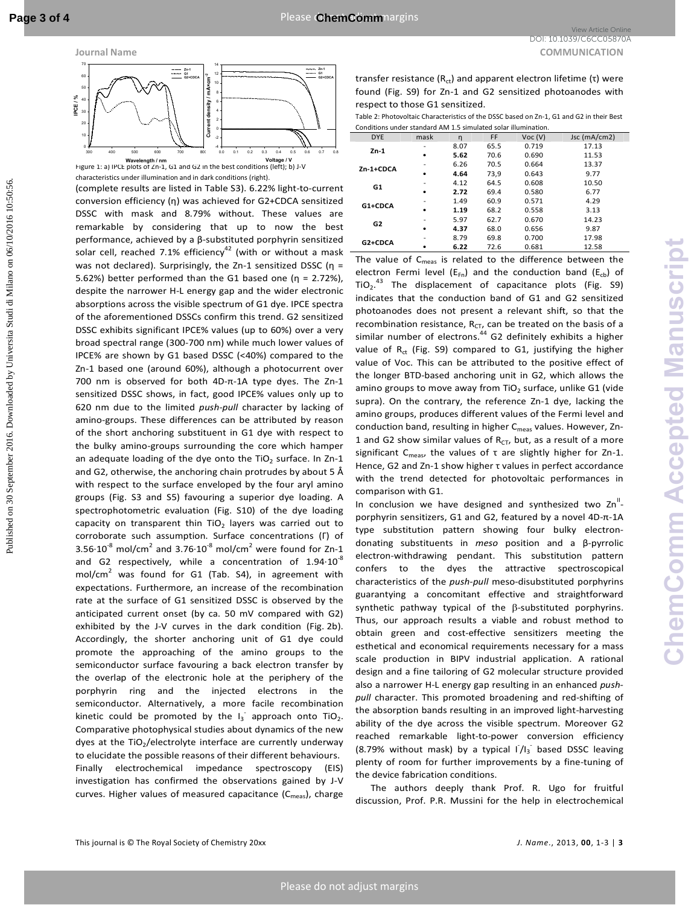

(complete results are listed in Table S3). 6.22% light-to-current conversion efficiency (η) was achieved for G2+CDCA sensitized DSSC with mask and 8.79% without. These values are Figure 1: a) IPCE plots of Zn-1, G1 and G2 in the best conditions (left); b) J-V **Wavelength / nm Voltage / V** characteristics under illumination and in dark conditions (right).

remarkable by considering that up to now the best performance, achieved by a β-substituted porphyrin sensitized solar cell, reached 7.1% efficiency<sup>42</sup> (with or without a mask was not declared). Surprisingly, the Zn-1 sensitized DSSC ( $\eta$  = 5.62%) better performed than the G1 based one ( $\eta$  = 2.72%), despite the narrower H-L energy gap and the wider electronic absorptions across the visible spectrum of G1 dye. IPCE spectra of the aforementioned DSSCs confirm this trend. G2 sensitized DSSC exhibits significant IPCE% values (up to 60%) over a very broad spectral range (300-700 nm) while much lower values of IPCE% are shown by G1 based DSSC (<40%) compared to the Zn-1 based one (around 60%), although a photocurrent over 700 nm is observed for both 4D-π-1A type dyes. The Zn-1 sensitized DSSC shows, in fact, good IPCE% values only up to 620 nm due to the limited *push-pull* character by lacking of amino-groups. These differences can be attributed by reason of the short anchoring substituent in G1 dye with respect to the bulky amino-groups surrounding the core which hamper an adequate loading of the dye onto the TiO<sub>2</sub> surface. In Zn-1 and G2, otherwise, the anchoring chain protrudes by about 5 Å with respect to the surface enveloped by the four aryl amino groups (Fig. S3 and S5) favouring a superior dye loading. A spectrophotometric evaluation (Fig. S10) of the dye loading capacity on transparent thin  $TiO<sub>2</sub>$  layers was carried out to corroborate such assumption. Surface concentrations (Γ) of  $3.56 \cdot 10^{-8}$  mol/cm<sup>2</sup> and  $3.76 \cdot 10^{-8}$  mol/cm<sup>2</sup> were found for Zn-1 and G2 respectively, while a concentration of  $1.94 \cdot 10^{-8}$ mol/cm<sup>2</sup> was found for G1 (Tab. S4), in agreement with expectations. Furthermore, an increase of the recombination rate at the surface of G1 sensitized DSSC is observed by the anticipated current onset (by ca. 50 mV compared with G2) exhibited by the J-V curves in the dark condition (Fig. 2b). Accordingly, the shorter anchoring unit of G1 dye could promote the approaching of the amino groups to the semiconductor surface favouring a back electron transfer by the overlap of the electronic hole at the periphery of the porphyrin ring and the injected electrons in the semiconductor. Alternatively, a more facile recombination kinetic could be promoted by the  $I_3$  approach onto TiO<sub>2</sub>. Comparative photophysical studies about dynamics of the new dyes at the  $TiO<sub>2</sub>/electrolyte interface are currently underway$ to elucidate the possible reasons of their different behaviours. Finally electrochemical impedance spectroscopy (EIS) investigation has confirmed the observations gained by J-V curves. Higher values of measured capacitance  $(C_{meas})$ , charge Example 2013  $\frac{1}{2}$ <br>
Chem Comment Doublin Comment Downloaded by Universitation of 10.1031 and 2016. Downloaded by Universitation of 10.1031 and 2016. Downloaded by Universitation of 10.1031 and 2016. Downloaded by Univ

transfer resistance (R<sub>ct</sub>) and apparent electron lifetime (τ) were found (Fig. S9) for Zn-1 and G2 sensitized photoanodes with respect to those G1 sensitized.

Table 2: Photovoltaic Characteristics of the DSSC based on Zn-1, G1 and G2 in their Best ditions under standard AM 1.5 simulated solar illumination

| <b>DYE</b>     | mask | n    | FF   | Voc(V) | Jsc $(mA/cm2)$ |  |  |
|----------------|------|------|------|--------|----------------|--|--|
| $Zn-1$         | ٠    | 8.07 | 65.5 | 0.719  | 17.13          |  |  |
|                |      | 5.62 | 70.6 | 0.690  | 11.53          |  |  |
| $Zn-1+CDCA$    |      | 6.26 | 70.5 | 0.664  | 13.37          |  |  |
|                |      | 4.64 | 73,9 | 0.643  | 9.77           |  |  |
| G1             |      | 4.12 | 64.5 | 0.608  | 10.50          |  |  |
|                |      | 2.72 | 69.4 | 0.580  | 6.77           |  |  |
| G1+CDCA        |      | 1.49 | 60.9 | 0.571  | 4.29           |  |  |
|                |      | 1.19 | 68.2 | 0.558  | 3.13           |  |  |
| G <sub>2</sub> |      | 5.97 | 62.7 | 0.670  | 14.23          |  |  |
|                |      | 4.37 | 68.0 | 0.656  | 9.87           |  |  |
| G2+CDCA        |      | 8.79 | 69.8 | 0.700  | 17.98          |  |  |
|                |      | 6.22 | 72.6 | 0.681  | 12.58          |  |  |

The value of  $C_{meas}$  is related to the difference between the electron Fermi level ( $E_{Fn}$ ) and the conduction band ( $E_{cb}$ ) of  $\overline{10}_2$ <sup>43</sup> The displacement of capacitance plots (Fig. S9) indicates that the conduction band of G1 and G2 sensitized photoanodes does not present a relevant shift, so that the recombination resistance,  $R_{CT}$ , can be treated on the basis of a similar number of electrons.<sup>44</sup> G2 definitely exhibits a higher value of  $R_{ct}$  (Fig. S9) compared to G1, justifying the higher value of Voc. This can be attributed to the positive effect of the longer BTD-based anchoring unit in G2, which allows the amino groups to move away from TiO<sub>2</sub> surface, unlike G1 (vide supra). On the contrary, the reference Zn-1 dye, lacking the amino groups, produces different values of the Fermi level and conduction band, resulting in higher C<sub>meas</sub> values. However, Zn-1 and G2 show similar values of  $R<sub>CT</sub>$ , but, as a result of a more significant C<sub>meas</sub>, the values of  $\tau$  are slightly higher for Zn-1. Hence, G2 and Zn-1 show higher τ values in perfect accordance with the trend detected for photovoltaic performances in comparison with G1.

In conclusion we have designed and synthesized two  $\text{Zn}^{\text{II}}$ porphyrin sensitizers, G1 and G2, featured by a novel 4D-π-1A type substitution pattern showing four bulky electrondonating substituents in *meso* position and a β-pyrrolic electron-withdrawing pendant. This substitution pattern confers to the dyes the attractive spectroscopical characteristics of the *push-pull* meso-disubstituted porphyrins guarantying a concomitant effective and straightforward synthetic pathway typical of the β-substituted porphyrins. Thus, our approach results a viable and robust method to obtain green and cost-effective sensitizers meeting the esthetical and economical requirements necessary for a mass scale production in BIPV industrial application. A rational design and a fine tailoring of G2 molecular structure provided also a narrower H-L energy gap resulting in an enhanced *pushpull* character. This promoted broadening and red-shifting of the absorption bands resulting in an improved light-harvesting ability of the dye across the visible spectrum. Moreover G2 reached remarkable light-to-power conversion efficiency  $(8.79\%$  without mask) by a typical  $1^7/I_3$  based DSSC leaving plenty of room for further improvements by a fine-tuning of the device fabrication conditions.

The authors deeply thank Prof. R. Ugo for fruitful discussion, Prof. P.R. Mussini for the help in electrochemical